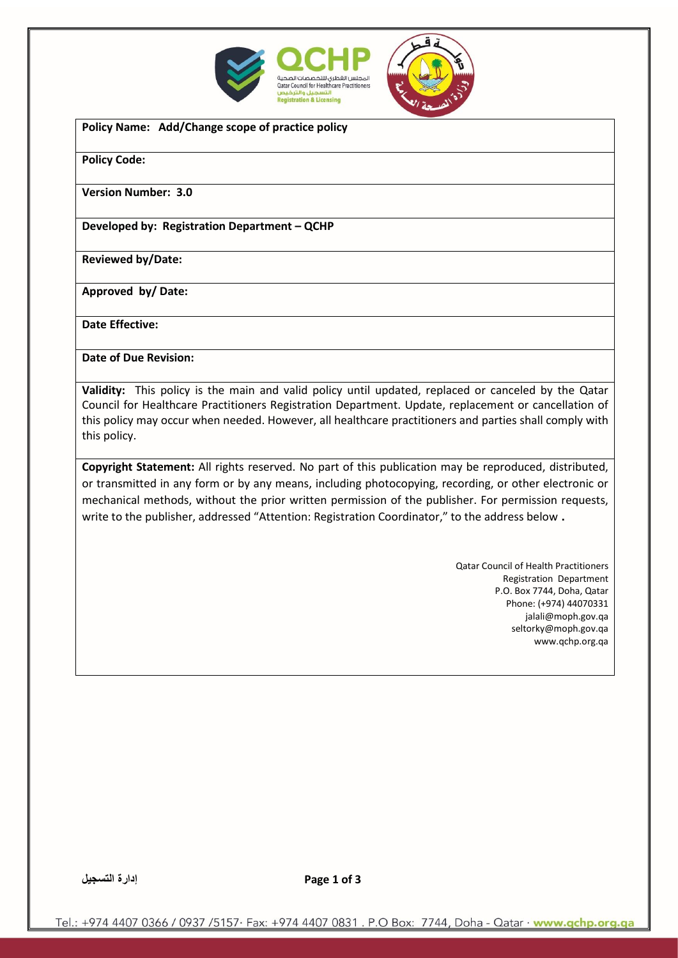



**Policy Name: Add/Change scope of practice policy** 

**Policy Code:** 

**Version Number: 3.0**

**Developed by: Registration Department – QCHP** 

**Reviewed by/Date:** 

**Approved by/ Date:** 

**Date Effective:** 

**Date of Due Revision:** 

**Validity:** This policy is the main and valid policy until updated, replaced or canceled by the Qatar Council for Healthcare Practitioners Registration Department. Update, replacement or cancellation of this policy may occur when needed. However, all healthcare practitioners and parties shall comply with this policy.

**Copyright Statement:** All rights reserved. No part of this publication may be reproduced, distributed, or transmitted in any form or by any means, including photocopying, recording, or other electronic or mechanical methods, without the prior written permission of the publisher. For permission requests, write to the publisher, addressed "Attention: Registration Coordinator," to the address below **.**

> Qatar Council of Health Practitioners Registration Department P.O. Box 7744, Doha, Qatar Phone: (+974) 44070331 jalali@moph.gov.qa [seltorky@moph.gov.qa](mailto:seltorky@moph.gov.qa) www.qchp.org.qa

**3 of 1 Page إدارة التسجيل**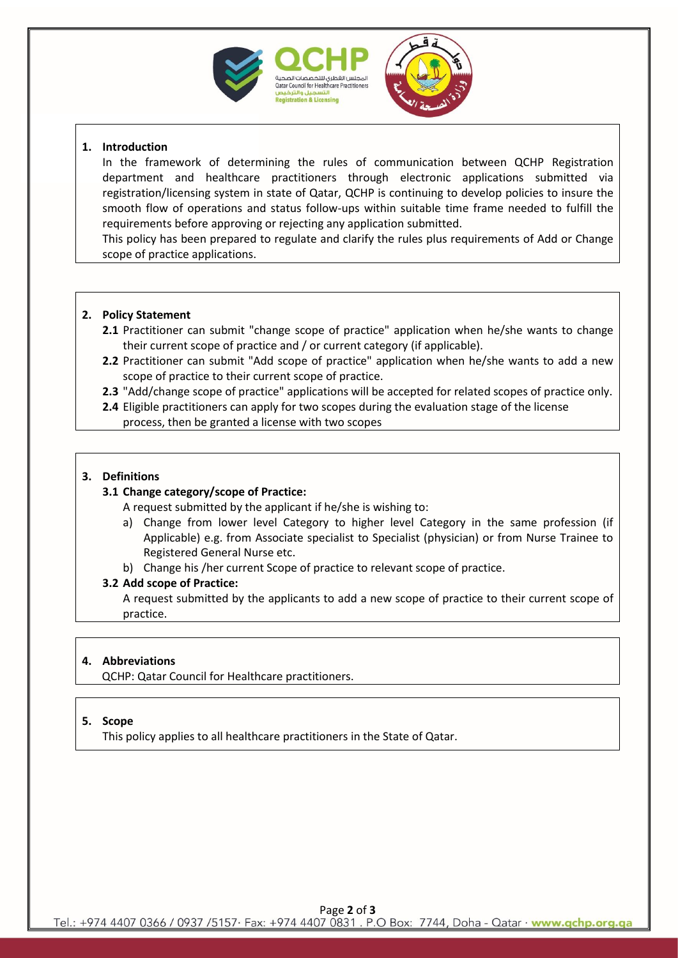



# **1. Introduction**

In the framework of determining the rules of communication between QCHP Registration department and healthcare practitioners through electronic applications submitted via registration/licensing system in state of Qatar, QCHP is continuing to develop policies to insure the smooth flow of operations and status follow-ups within suitable time frame needed to fulfill the requirements before approving or rejecting any application submitted.

This policy has been prepared to regulate and clarify the rules plus requirements of Add or Change scope of practice applications.

# **2. Policy Statement**

- **2.1** Practitioner can submit "change scope of practice" application when he/she wants to change their current scope of practice and / or current category (if applicable).
- **2.2** Practitioner can submit "Add scope of practice" application when he/she wants to add a new scope of practice to their current scope of practice.
- **2.3** "Add/change scope of practice" applications will be accepted for related scopes of practice only.
- **2.4** Eligible practitioners can apply for two scopes during the evaluation stage of the license process, then be granted a license with two scopes

# **3. Definitions**

### **3.1 Change category/scope of Practice:**

A request submitted by the applicant if he/she is wishing to:

- a) Change from lower level Category to higher level Category in the same profession (if Applicable) e.g. from Associate specialist to Specialist (physician) or from Nurse Trainee to Registered General Nurse etc.
- b) Change his /her current Scope of practice to relevant scope of practice.

### **3.2 Add scope of Practice:**

A request submitted by the applicants to add a new scope of practice to their current scope of practice.

### **4. Abbreviations**

QCHP: Qatar Council for Healthcare practitioners.

### **5. Scope**

This policy applies to all healthcare practitioners in the State of Qatar.